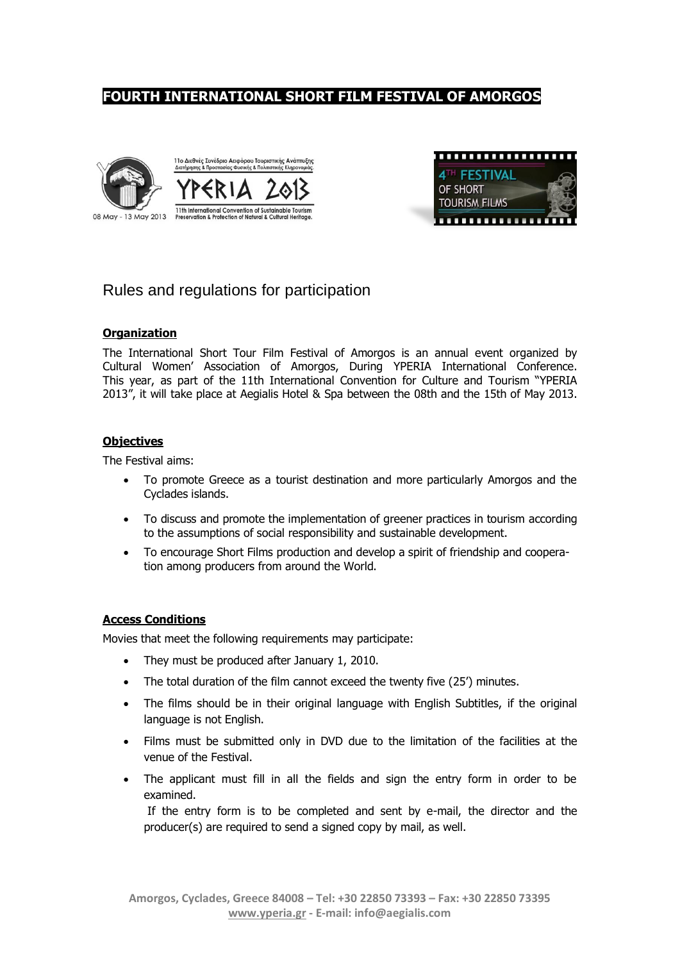# **FOURTH INTERNATIONAL SHORT FILM FESTIVAL OF AMORGOS**





# Rules and regulations for participation

#### **Organization**

The International Short Tour Film Festival of Amorgos is an annual event organized by Cultural Women' Association of Amorgos, During YPERIA International Conference. This year, as part of the 11th International Convention for Culture and Tourism "YPERIA 2013", it will take place at Aegialis Hotel & Spa between the 08th and the 15th of May 2013.

#### **Objectives**

The Festival aims:

- To promote Greece as a tourist destination and more particularly Amorgos and the Cyclades islands.
- To discuss and promote the implementation of greener practices in tourism according to the assumptions of social responsibility and sustainable development.
- To encourage Short Films production and develop a spirit of friendship and cooperation among producers from around the World.

#### **Access Conditions**

Movies that meet the following requirements may participate:

- They must be produced after January 1, 2010.
- The total duration of the film cannot exceed the twenty five (25') minutes.
- The films should be in their original language with English Subtitles, if the original language is not English.
- Films must be submitted only in DVD due to the limitation of the facilities at the venue of the Festival.
- The applicant must fill in all the fields and sign the entry form in order to be examined.

If the entry form is to be completed and sent by e-mail, the director and the producer(s) are required to send a signed copy by mail, as well.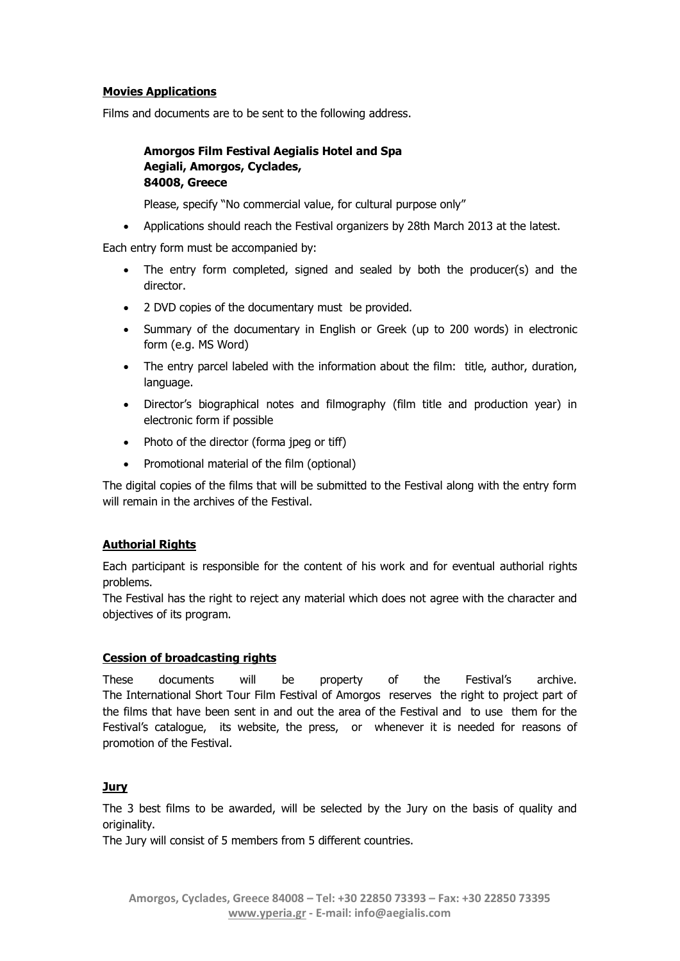#### **Movies Applications**

Films and documents are to be sent to the following address.

#### **Amorgos Film Festival Aegialis Hotel and Spa Aegiali, Amorgos, Cyclades, 84008, Greece**

Please, specify "No commercial value, for cultural purpose only"

Applications should reach the Festival organizers by 28th March 2013 at the latest.

Each entry form must be accompanied by:

- The entry form completed, signed and sealed by both the producer(s) and the director.
- 2 DVD copies of the documentary must be provided.
- Summary of the documentary in English or Greek (up to 200 words) in electronic form (e.g. MS Word)
- The entry parcel labeled with the information about the film: title, author, duration, language.
- Director's biographical notes and filmography (film title and production year) in electronic form if possible
- Photo of the director (forma jpeg or tiff)
- Promotional material of the film (optional)

The digital copies of the films that will be submitted to the Festival along with the entry form will remain in the archives of the Festival.

#### **Authorial Rights**

Each participant is responsible for the content of his work and for eventual authorial rights problems.

The Festival has the right to reject any material which does not agree with the character and objectives of its program.

#### **Cession of broadcasting rights**

These documents will be property of the Festival's archive. The International Short Tour Film Festival of Amorgos reserves the right to project part of the films that have been sent in and out the area of the Festival and to use them for the Festival's catalogue, its website, the press, or whenever it is needed for reasons of promotion of the Festival.

#### **Jury**

The 3 best films to be awarded, will be selected by the Jury on the basis of quality and originality.

The Jury will consist of 5 members from 5 different countries.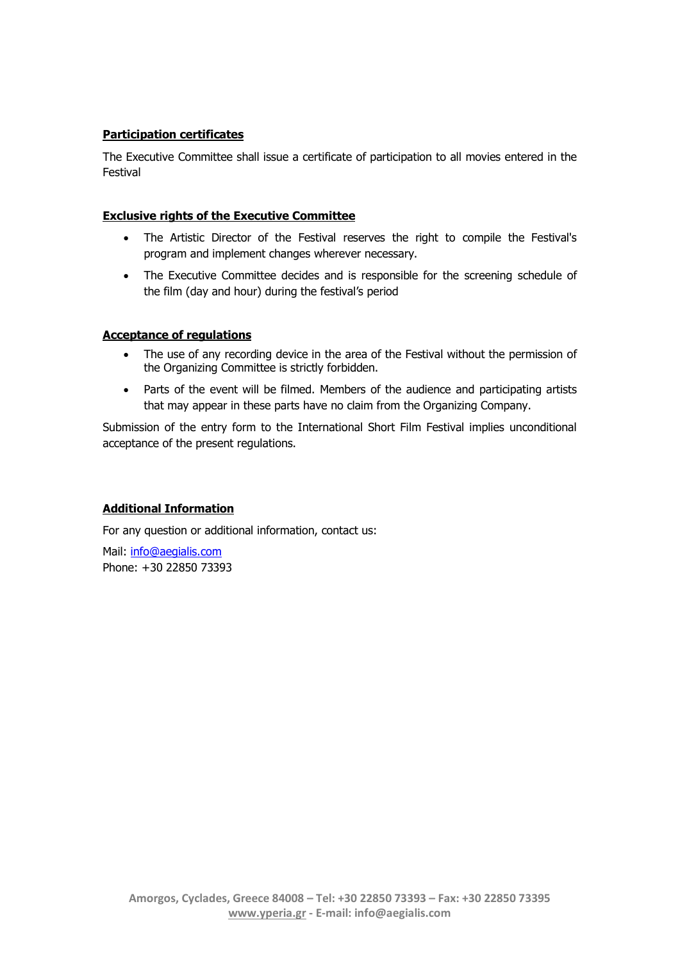## **Participation certificates**

The Executive Committee shall issue a certificate of participation to all movies entered in the Festival

#### **Exclusive rights of the Executive Committee**

- The Artistic Director of the Festival reserves the right to compile the Festival's program and implement changes wherever necessary.
- The Executive Committee decides and is responsible for the screening schedule of the film (day and hour) during the festival's period

#### **Acceptance of regulations**

- The use of any recording device in the area of the Festival without the permission of the Organizing Committee is strictly forbidden.
- Parts of the event will be filmed. Members of the audience and participating artists that may appear in these parts have no claim from the Organizing Company.

Submission of the entry form to the International Short Film Festival implies unconditional acceptance of the present regulations.

## **Additional Information**

For any question or additional information, contact us:

Mail: [info@aegialis.com](mailto:info@aegialis.com) Phone: +30 22850 73393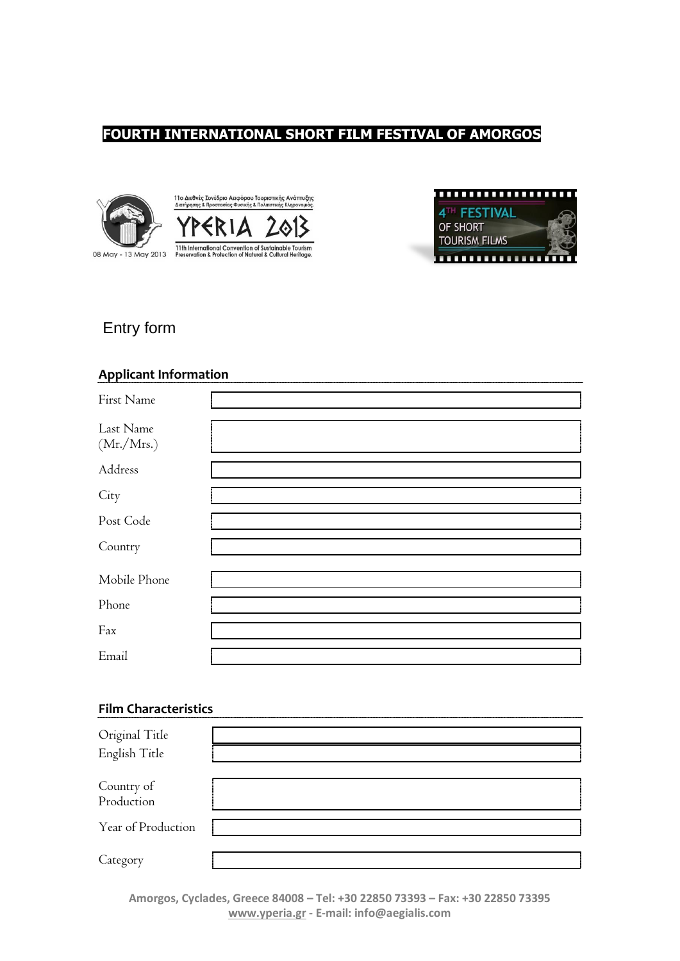# **FOURTH INTERNATIONAL SHORT FILM FESTIVAL OF AMORGOS**





# Entry form

## **Applicant Information**

| First Name              |  |
|-------------------------|--|
| Last Name<br>(Mr./Mrs.) |  |
| Address                 |  |
| City                    |  |
| Post Code               |  |
| Country                 |  |
| Mobile Phone            |  |
| Phone                   |  |
| Fax                     |  |
| Email                   |  |

## **Film Characteristics**

| Original Title<br>English Title |  |
|---------------------------------|--|
| Country of<br>Production        |  |
| Year of Production              |  |
| Category                        |  |

**Amorgos, Cyclades, Greece 84008 – Tel: +30 22850 73393 – Fax: +30 22850 73395 www.yperia.gr - E-mail: info@aegialis.com**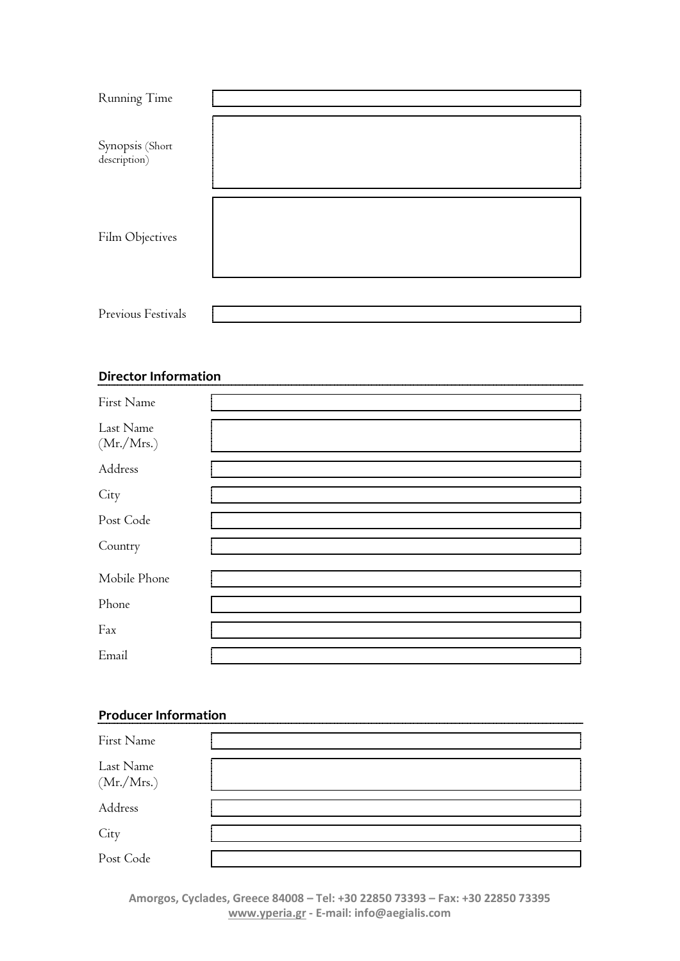| Running Time                    |  |
|---------------------------------|--|
| Synopsis (Short<br>description) |  |
| Film Objectives                 |  |
| Previous Festivals              |  |

# **Director Information**

| First Name              |  |
|-------------------------|--|
| Last Name<br>(Mr./Mrs.) |  |
| Address                 |  |
| City                    |  |
| Post Code               |  |
| Country                 |  |
| Mobile Phone            |  |
| Phone                   |  |
| Fax                     |  |
| Email                   |  |

# **Producer Information**

| First Name              |  |
|-------------------------|--|
| Last Name<br>(Mr./Mrs.) |  |
| Address                 |  |
| City                    |  |
| Post Code               |  |

**Amorgos, Cyclades, Greece 84008 – Tel: +30 22850 73393 – Fax: +30 22850 73395 www.yperia.gr - E-mail: info@aegialis.com**